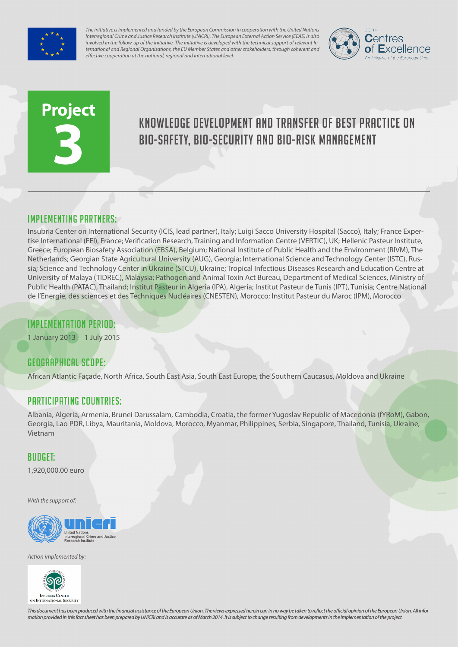

*The initiative is implemented and funded by the European Commission in cooperation with the United Nations Interregional Crime and Justice Research Institute (UNICRI). The European External Action Service (EEAS) is also involved in the follow-up of the initiative. The initiative is developed with the technical support of relevant International and Regional Organisations, the EU Member States and other stakeholders, through coherent and effective cooperation at the national, regional and international level.*



# **Project 3**

# Knowledge development and transfer of best practice on bio-safety, bio-security and bio-risk management

#### Implementing partners:

Insubria Center on International Security (ICIS, lead partner), Italy; Luigi Sacco University Hospital (Sacco), Italy; France Expertise International (FEI), France; Verification Research, Training and Information Centre (VERTIC), UK; Hellenic Pasteur Institute, Greece; European Biosafety Association (EBSA), Belgium; National Institute of Public Health and the Environment (RIVM), The Netherlands; Georgian State Agricultural University (AUG), Georgia; International Science and Technology Center (ISTC), Russia; Science and Technology Center in Ukraine (STCU), Ukraine; Tropical Infectious Diseases Research and Education Centre at University of Malaya (TIDREC), Malaysia; Pathogen and Animal Toxin Act Bureau, Department of Medical Sciences, Ministry of Public Health (PATAC), Thailand; Institut Pasteur in Algeria (IPA), Algeria; Institut Pasteur de Tunis (IPT), Tunisia; Centre National de l'Energie, des sciences et des Techniques Nucléaires (CNESTEN), Morocco; Institut Pasteur du Maroc (IPM), Morocco

### Implementation Period:

1 January 2013 – 1 July 2015

## Geographical scope:

African Atlantic Façade, North Africa, South East Asia, South East Europe, the Southern Caucasus, Moldova and Ukraine

#### Participating countries:

Albania, Algeria, Armenia, Brunei Darussalam, Cambodia, Croatia, the former Yugoslav Republic of Macedonia (fYRoM), Gabon, Georgia, Lao PDR, Libya, Mauritania, Moldova, Morocco, Myanmar, Philippines, Serbia, Singapore, Thailand, Tunisia, Ukraine, Vietnam

#### Budget:

1,920,000.00 euro

*With the support of:*



*Action implemented by:*



*This document has been produced with the financial assistance of the European Union. The views expressed herein can in no way be taken to reflect the official opinion of the European Union. All information provided in this fact sheet has been prepared by UNICRI and is accurate as of March 2014. It is subject to change resulting from developments in the implementation of the project.*